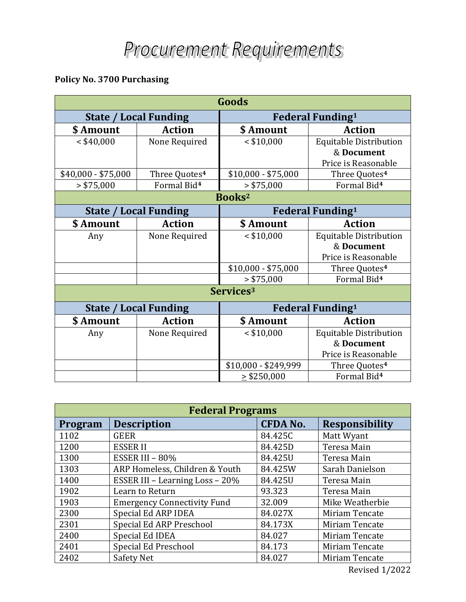## **Policy No. 3700 Purchasing**

| Goods                        |                           |                                     |                               |  |  |  |
|------------------------------|---------------------------|-------------------------------------|-------------------------------|--|--|--|
| <b>State / Local Funding</b> |                           | <b>Federal Funding</b> <sup>1</sup> |                               |  |  |  |
| \$ Amount                    | <b>Action</b>             | \$ Amount                           | <b>Action</b>                 |  |  |  |
| $<$ \$40,000                 | None Required             | $<$ \$10,000                        | <b>Equitable Distribution</b> |  |  |  |
|                              |                           |                                     | & Document                    |  |  |  |
|                              |                           |                                     | Price is Reasonable           |  |  |  |
| $$40,000 - $75,000$          | Three Quotes <sup>4</sup> | $$10,000 - $75,000$                 | Three Quotes <sup>4</sup>     |  |  |  |
| > \$75,000                   | Formal Bid <sup>4</sup>   | > \$75,000                          | Formal Bid <sup>4</sup>       |  |  |  |
| Books <sup>2</sup>           |                           |                                     |                               |  |  |  |
| <b>State / Local Funding</b> |                           | <b>Federal Funding<sup>1</sup></b>  |                               |  |  |  |
| \$ Amount                    | <b>Action</b>             | \$ Amount                           | <b>Action</b>                 |  |  |  |
| Any                          | None Required             | $<$ \$10,000                        | <b>Equitable Distribution</b> |  |  |  |
|                              |                           |                                     | & Document                    |  |  |  |
|                              |                           |                                     | Price is Reasonable           |  |  |  |
|                              |                           | $$10,000 - $75,000$                 | Three Quotes <sup>4</sup>     |  |  |  |
|                              |                           | > \$75,000                          | Formal Bid <sup>4</sup>       |  |  |  |
| Services <sup>3</sup>        |                           |                                     |                               |  |  |  |
| <b>State / Local Funding</b> |                           | <b>Federal Funding</b> <sup>1</sup> |                               |  |  |  |
| \$ Amount                    | <b>Action</b>             | \$ Amount                           | <b>Action</b>                 |  |  |  |
| Any                          | None Required             | $<$ \$10,000                        | <b>Equitable Distribution</b> |  |  |  |
|                              |                           |                                     | & Document                    |  |  |  |
|                              |                           |                                     | Price is Reasonable           |  |  |  |
|                              |                           | \$10,000 - \$249,999                | Three Quotes <sup>4</sup>     |  |  |  |
|                              |                           | $\ge$ \$250,000                     | Formal Bid <sup>4</sup>       |  |  |  |

| <b>Federal Programs</b> |                                    |                 |                       |  |  |  |
|-------------------------|------------------------------------|-----------------|-----------------------|--|--|--|
| Program                 | <b>Description</b>                 | <b>CFDA No.</b> | <b>Responsibility</b> |  |  |  |
| 1102                    | <b>GEER</b>                        | 84.425C         | Matt Wyant            |  |  |  |
| 1200                    | <b>ESSERII</b>                     | 84.425D         | Teresa Main           |  |  |  |
| 1300                    | ESSER III - 80%                    | 84.425U         | Teresa Main           |  |  |  |
| 1303                    | ARP Homeless, Children & Youth     | 84.425W         | Sarah Danielson       |  |  |  |
| 1400                    | ESSER III - Learning Loss - 20%    | 84.425U         | Teresa Main           |  |  |  |
| 1902                    | Learn to Return                    | 93.323          | Teresa Main           |  |  |  |
| 1903                    | <b>Emergency Connectivity Fund</b> | 32.009          | Mike Weatherbie       |  |  |  |
| 2300                    | Special Ed ARP IDEA                | 84.027X         | Miriam Tencate        |  |  |  |
| 2301                    | Special Ed ARP Preschool           | 84.173X         | Miriam Tencate        |  |  |  |
| 2400                    | Special Ed IDEA                    | 84.027          | Miriam Tencate        |  |  |  |
| 2401                    | Special Ed Preschool               | 84.173          | Miriam Tencate        |  |  |  |
| 2402                    | Safety Net                         | 84.027          | Miriam Tencate        |  |  |  |

Revised 1/2022